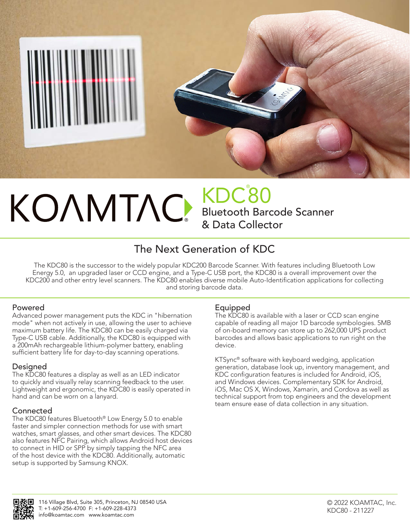

### ® KDC® 80 Bluetooth Barcode Scanner & Data Collector

## The Next Generation of KDC

The KDC80 is the successor to the widely popular KDC200 Barcode Scanner. With features including Bluetooth Low Energy 5.0, an upgraded laser or CCD engine, and a Type-C USB port, the KDC80 is a overall improvement over the KDC200 and other entry level scanners. The KDC80 enables diverse mobile Auto-Identification applications for collecting and storing barcode data.

#### Powered

Advanced power management puts the KDC in "hibernation mode" when not actively in use, allowing the user to achieve maximum battery life. The KDC80 can be easily charged via Type-C USB cable. Additionally, the KDC80 is equipped with a 200mAh rechargeable lithium-polymer battery, enabling sufficient battery life for day-to-day scanning operations.

#### Designed

The KDC80 features a display as well as an LED indicator to quickly and visually relay scanning feedback to the user. Lightweight and ergonomic, the KDC80 is easily operated in hand and can be worn on a lanyard.

#### Connected

The KDC80 features Bluetooth® Low Energy 5.0 to enable faster and simpler connection methods for use with smart watches, smart glasses, and other smart devices. The KDC80 also features NFC Pairing, which allows Android host devices to connect in HID or SPP by simply tapping the NFC area of the host device with the KDC80. Additionally, automatic setup is supported by Samsung KNOX.

#### Equipped

The KDC80 is available with a laser or CCD scan engine capable of reading all major 1D barcode symbologies. 5MB of on-board memory can store up to 262,000 UPS product barcodes and allows basic applications to run right on the device.

KTSync® software with keyboard wedging, application generation, database look up, inventory management, and KDC configuration features is included for Android, iOS, and Windows devices. Complementary SDK for Android, iOS, Mac OS X, Windows, Xamarin, and Cordova as well as technical support from top engineers and the development team ensure ease of data collection in any situation.